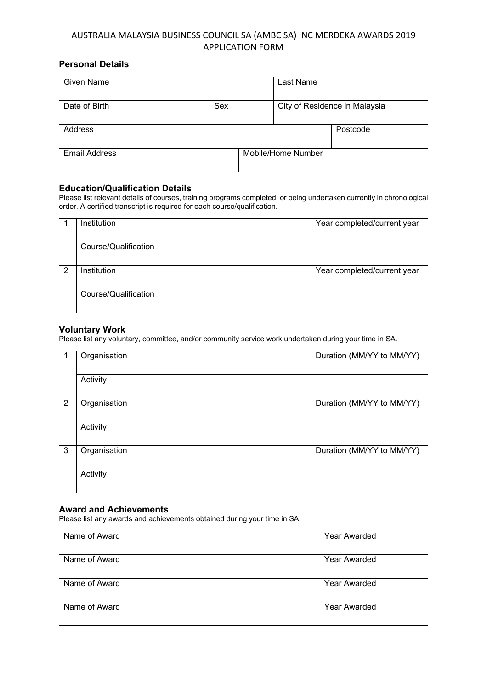# AUSTRALIA MALAYSIA BUSINESS COUNCIL SA (AMBC SA) INC MERDEKA AWARDS 2019 APPLICATION FORM

## **Personal Details**

| <b>Given Name</b>    |     |                    | Last Name                     |          |
|----------------------|-----|--------------------|-------------------------------|----------|
| Date of Birth        | Sex |                    | City of Residence in Malaysia |          |
| Address              |     |                    |                               | Postcode |
| <b>Email Address</b> |     | Mobile/Home Number |                               |          |

### **Education/Qualification Details**

Please list relevant details of courses, training programs completed, or being undertaken currently in chronological order. A certified transcript is required for each course/qualification.

|   | Institution          | Year completed/current year |
|---|----------------------|-----------------------------|
|   | Course/Qualification |                             |
| 2 | Institution          | Year completed/current year |
|   | Course/Qualification |                             |

## **Voluntary Work**

Please list any voluntary, committee, and/or community service work undertaken during your time in SA.

|   | Organisation | Duration (MM/YY to MM/YY) |
|---|--------------|---------------------------|
|   | Activity     |                           |
| 2 | Organisation | Duration (MM/YY to MM/YY) |
|   | Activity     |                           |
| 3 | Organisation | Duration (MM/YY to MM/YY) |
|   | Activity     |                           |

## **Award and Achievements**

Please list any awards and achievements obtained during your time in SA.

| Name of Award | Year Awarded |
|---------------|--------------|
| Name of Award | Year Awarded |
| Name of Award | Year Awarded |
| Name of Award | Year Awarded |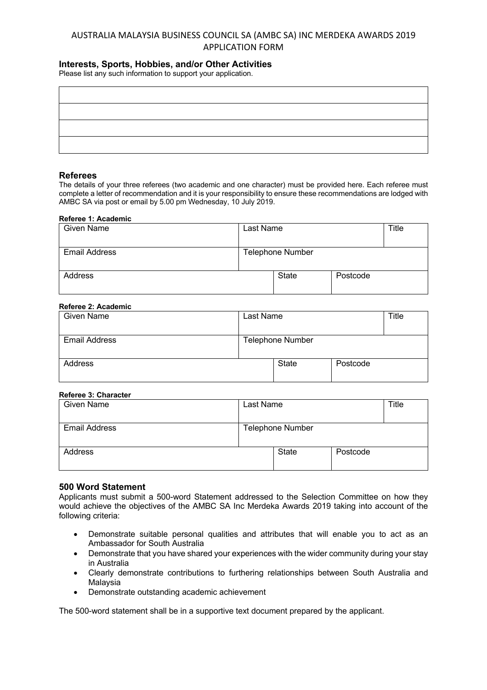# AUSTRALIA MALAYSIA BUSINESS COUNCIL SA (AMBC SA) INC MERDEKA AWARDS 2019 APPLICATION FORM

## **Interests, Sports, Hobbies, and/or Other Activities**

Please list any such information to support your application.

## **Referees**

The details of your three referees (two academic and one character) must be provided here. Each referee must complete a letter of recommendation and it is your responsibility to ensure these recommendations are lodged with AMBC SA via post or email by 5.00 pm Wednesday, 10 July 2019.

#### **Referee 1: Academic**

| Given Name           | Last Name |                         |          | Title |
|----------------------|-----------|-------------------------|----------|-------|
| <b>Email Address</b> |           | <b>Telephone Number</b> |          |       |
|                      |           |                         |          |       |
| Address              |           | <b>State</b>            | Postcode |       |
|                      |           |                         |          |       |

### **Referee 2: Academic**

| Given Name           | Last Name               |          | Title |
|----------------------|-------------------------|----------|-------|
|                      |                         |          |       |
| <b>Email Address</b> | <b>Telephone Number</b> |          |       |
|                      |                         |          |       |
| Address              | <b>State</b>            | Postcode |       |
|                      |                         |          |       |

#### **Referee 3: Character**

| Given Name           | Last Name               |          | Title |
|----------------------|-------------------------|----------|-------|
| <b>Email Address</b> | <b>Telephone Number</b> |          |       |
| Address              | <b>State</b>            | Postcode |       |

#### **500 Word Statement**

Applicants must submit a 500-word Statement addressed to the Selection Committee on how they would achieve the objectives of the AMBC SA Inc Merdeka Awards 2019 taking into account of the following criteria:

- Demonstrate suitable personal qualities and attributes that will enable you to act as an Ambassador for South Australia
- Demonstrate that you have shared your experiences with the wider community during your stay in Australia
- Clearly demonstrate contributions to furthering relationships between South Australia and Malaysia
- Demonstrate outstanding academic achievement

The 500-word statement shall be in a supportive text document prepared by the applicant.